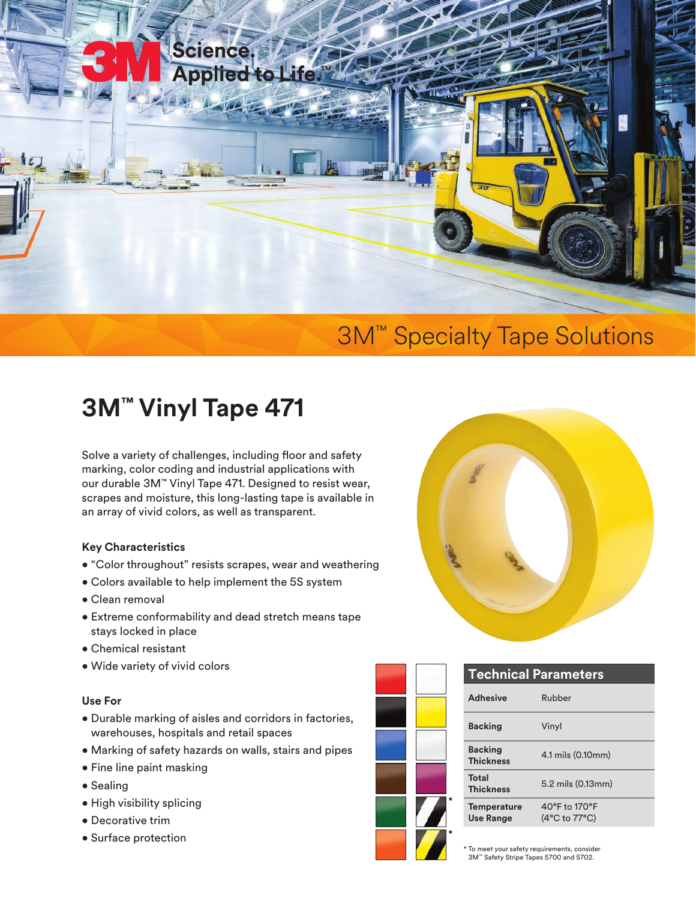

## 3M™ Specialty Tape Solutions

## **3M™ Vinyl Tape 471**

Solve a variety of challenges, including floor and safety marking, color coding and industrial applications with our durable 3M™ Vinyl Tape 471. Designed to resist wear, scrapes and moisture, this long-lasting tape is available in an array of vivid colors, as well as transparent.

#### **Key Characteristics**

- "Color throughout" resists scrapes, wear and weathering
- Colors available to help implement the 5S system
- Clean removal
- Extreme conformability and dead stretch means tape stays locked in place
- Chemical resistant
- Wide variety of vivid colors

#### **Use For**

- Durable marking of aisles and corridors in factories, warehouses, hospitals and retail spaces
- Marking of safety hazards on walls, stairs and pipes
- Fine line paint masking
- Sealing
- High visibility splicing
- Decorative trim
- Surface protection



|   | <b>Technical Parameters</b>            |                                                  |
|---|----------------------------------------|--------------------------------------------------|
|   | <b>Adhesive</b>                        | Rubber                                           |
| × | <b>Backing</b>                         | Vinyl                                            |
|   | <b>Backing</b><br><b>Thickness</b>     | 4.1 mils (0.10mm)                                |
|   | <b>Total</b><br><b>Thickness</b>       | 5.2 mils (0.13mm)                                |
|   | <b>Temperature</b><br><b>Use Range</b> | 40°F to 170°F<br>$(4^{\circ}C$ to $77^{\circ}C)$ |
|   |                                        |                                                  |

To meet your safety requirements, consider 3M™ Safety Stripe Tapes 5700 and 5702.